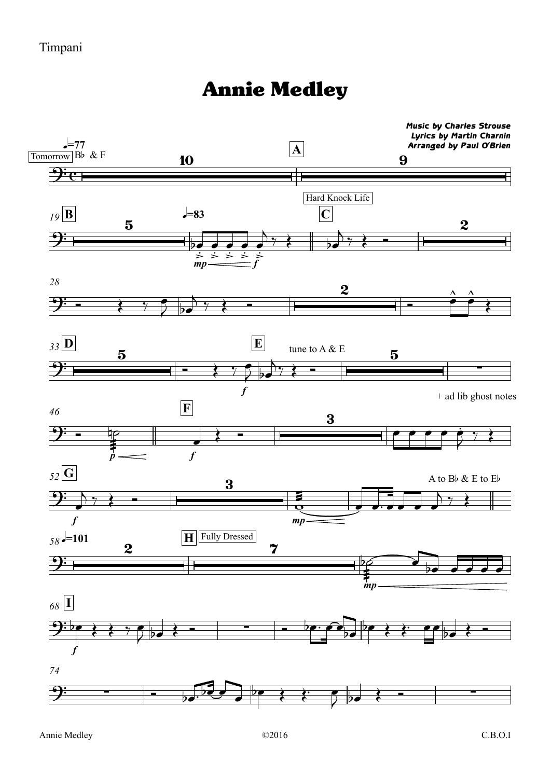## Annie Medley